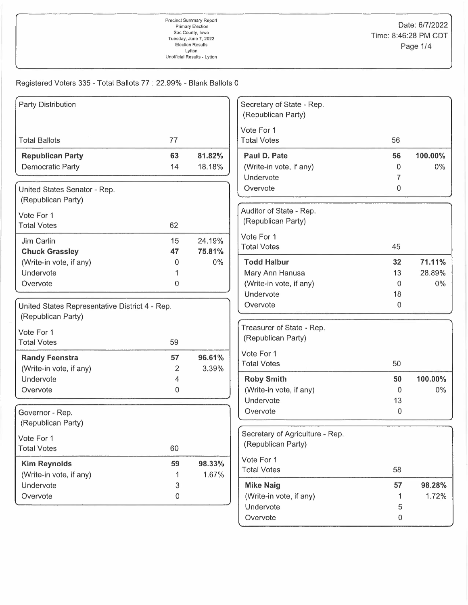## Registered Voters 335 - Total Ballots 77: 22.99% - Blank Ballots 0

| <b>Party Distribution</b>                      |    |        | Secretary of State - Rep.        |             |         |
|------------------------------------------------|----|--------|----------------------------------|-------------|---------|
|                                                |    |        | (Republican Party)               |             |         |
|                                                |    |        | Vote For 1                       |             |         |
| <b>Total Ballots</b>                           | 77 |        | <b>Total Votes</b>               | 56          |         |
| <b>Republican Party</b>                        | 63 | 81.82% | Paul D. Pate                     | 56          | 100.00% |
| Democratic Party                               | 14 | 18.18% | (Write-in vote, if any)          | 0           | $0\%$   |
|                                                |    |        | Undervote                        | 7           |         |
| United States Senator - Rep.                   |    |        | Overvote                         | 0           |         |
| (Republican Party)                             |    |        | Auditor of State - Rep.          |             |         |
| Vote For 1                                     |    |        | (Republican Party)               |             |         |
| <b>Total Votes</b>                             | 62 |        |                                  |             |         |
| Jim Carlin                                     | 15 | 24.19% | Vote For 1<br><b>Total Votes</b> | 45          |         |
| <b>Chuck Grassley</b>                          | 47 | 75.81% |                                  |             |         |
| (Write-in vote, if any)                        | 0  | $0\%$  | <b>Todd Halbur</b>               | 32          | 71.11%  |
| Undervote                                      |    |        | Mary Ann Hanusa                  | 13          | 28.89%  |
| Overvote                                       | 0  |        | (Write-in vote, if any)          | $\Omega$    | $0\%$   |
|                                                |    |        | Undervote                        | 18          |         |
| United States Representative District 4 - Rep. |    |        | Overvote                         | $\mathbf 0$ |         |
| (Republican Party)                             |    |        |                                  |             |         |
| Vote For 1                                     |    |        | Treasurer of State - Rep.        |             |         |
| <b>Total Votes</b>                             | 59 |        | (Republican Party)               |             |         |
| <b>Randy Feenstra</b>                          | 57 | 96.61% | Vote For 1                       |             |         |
| (Write-in vote, if any)                        | 2  | 3.39%  | <b>Total Votes</b>               | 50          |         |
| Undervote                                      | 4  |        | <b>Roby Smith</b>                | 50          | 100.00% |
| Overvote                                       | 0  |        | (Write-in vote, if any)          | $\Omega$    | $0\%$   |
|                                                |    |        | Undervote                        | 13          |         |
| Governor - Rep.                                |    |        | Overvote                         | $\mathbf 0$ |         |
| (Republican Party)                             |    |        |                                  |             |         |
| Vote For 1                                     |    |        | Secretary of Agriculture - Rep.  |             |         |
| <b>Total Votes</b>                             | 60 |        | (Republican Party)               |             |         |
| <b>Kim Reynolds</b>                            | 59 | 98.33% | Vote For 1                       |             |         |
| (Write-in vote, if any)                        | 1  | 1.67%  | <b>Total Votes</b>               | 58          |         |
| Undervote                                      | 3  |        | <b>Mike Naig</b>                 | 57          | 98.28%  |
| Overvote                                       | 0  |        | (Write-in vote, if any)          | 1           | 1.72%   |
|                                                |    |        | Undervote                        | 5           |         |
|                                                |    |        | Overvote                         | 0           |         |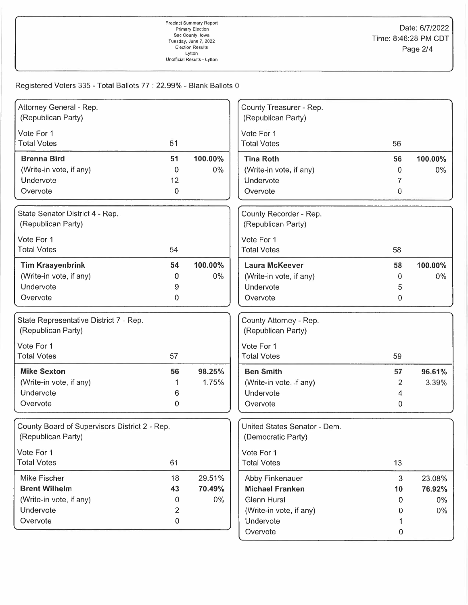## Registered Voters 335 - Total Ballots 77 : 22.99% - Blank Ballots 0

| Attorney General - Rep.                       |                  |         | County Treasurer - Rep.      |    |         |
|-----------------------------------------------|------------------|---------|------------------------------|----|---------|
| (Republican Party)                            |                  |         | (Republican Party)           |    |         |
| Vote For 1                                    |                  |         | Vote For 1                   |    |         |
| <b>Total Votes</b>                            | 51               |         | <b>Total Votes</b>           | 56 |         |
| <b>Brenna Bird</b>                            | 51               | 100.00% | <b>Tina Roth</b>             | 56 | 100.00% |
| (Write-in vote, if any)                       | 0                | 0%      | (Write-in vote, if any)      | 0  | $0\%$   |
| Undervote                                     | 12               |         | Undervote                    | 7  |         |
| Overvote                                      | 0                |         | Overvote                     | 0  |         |
| State Senator District 4 - Rep.               |                  |         | County Recorder - Rep.       |    |         |
| (Republican Party)                            |                  |         | (Republican Party)           |    |         |
| Vote For 1                                    |                  |         | Vote For 1                   |    |         |
| <b>Total Votes</b>                            | 54               |         | <b>Total Votes</b>           | 58 |         |
| <b>Tim Kraayenbrink</b>                       | 54               | 100.00% | <b>Laura McKeever</b>        | 58 | 100.00% |
| (Write-in vote, if any)                       | 0                | 0%      | (Write-in vote, if any)      | 0  | $0\%$   |
| Undervote                                     | 9                |         | Undervote                    | 5  |         |
| Overvote                                      | 0                |         | Overvote                     | 0  |         |
| State Representative District 7 - Rep.        |                  |         | County Attorney - Rep.       |    |         |
| (Republican Party)                            |                  |         | (Republican Party)           |    |         |
| Vote For 1                                    |                  |         | Vote For 1                   |    |         |
| <b>Total Votes</b>                            | 57               |         | <b>Total Votes</b>           | 59 |         |
| <b>Mike Sexton</b>                            | 56               | 98.25%  | <b>Ben Smith</b>             | 57 | 96.61%  |
| (Write-in vote, if any)                       |                  | 1.75%   | (Write-in vote, if any)      | 2  | 3.39%   |
| Undervote                                     | 6                |         | Undervote                    | 4  |         |
| Overvote                                      | 0                |         | Overvote                     | 0  |         |
| County Board of Supervisors District 2 - Rep. |                  |         | United States Senator - Dem. |    |         |
| (Republican Party)                            |                  |         | (Democratic Party)           |    |         |
| Vote For 1                                    |                  |         | Vote For 1                   |    |         |
| <b>Total Votes</b>                            | 61               |         | <b>Total Votes</b>           | 13 |         |
| Mike Fischer                                  | 18               | 29.51%  | Abby Finkenauer              | 3  | 23.08%  |
| <b>Brent Wilhelm</b>                          | 43               | 70.49%  | <b>Michael Franken</b>       | 10 | 76.92%  |
| (Write-in vote, if any)                       | 0                | 0%      | <b>Glenn Hurst</b>           | 0  | $0\%$   |
| Undervote                                     | 2                |         | (Write-in vote, if any)      | 0  | $0\%$   |
| Overvote                                      | $\boldsymbol{0}$ |         | Undervote                    | 1  |         |
|                                               |                  |         | Overvote                     | 0  |         |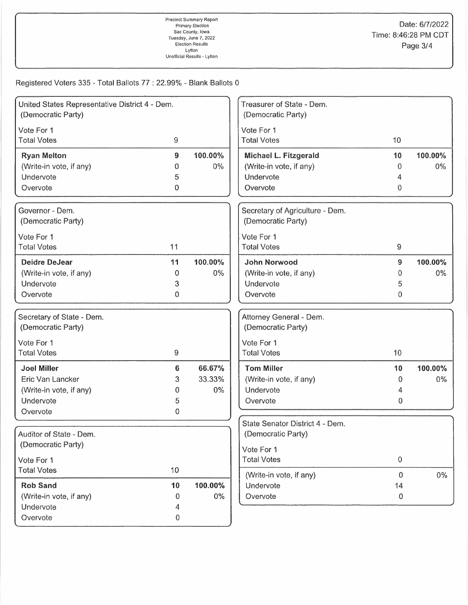## Registered Voters 335 - Total Ballots 77 : 22.99% - Blank Ballots 0

| United States Representative District 4 - Dem.<br>(Democratic Party) |    |         | Treasurer of State - Dem.<br>(Democratic Party) |                  |         |
|----------------------------------------------------------------------|----|---------|-------------------------------------------------|------------------|---------|
| Vote For 1                                                           |    |         | Vote For 1                                      |                  |         |
| <b>Total Votes</b>                                                   | 9  |         | <b>Total Votes</b>                              | 10               |         |
| <b>Ryan Melton</b>                                                   | 9  | 100.00% | Michael L. Fitzgerald                           | 10               | 100.00% |
| (Write-in vote, if any)                                              | 0  | $0\%$   | (Write-in vote, if any)                         | 0                | $0\%$   |
| Undervote                                                            | 5  |         | Undervote                                       | 4                |         |
| Overvote                                                             | 0  |         | Overvote                                        | 0                |         |
| Governor - Dem.                                                      |    |         | Secretary of Agriculture - Dem.                 |                  |         |
| (Democratic Party)                                                   |    |         | (Democratic Party)                              |                  |         |
| Vote For 1                                                           |    |         | Vote For 1                                      |                  |         |
| <b>Total Votes</b>                                                   | 11 |         | <b>Total Votes</b>                              | 9                |         |
| <b>Deidre DeJear</b>                                                 | 11 | 100.00% | <b>John Norwood</b>                             | 9                | 100.00% |
| (Write-in vote, if any)                                              | 0  | $0\%$   | (Write-in vote, if any)                         | 0                | $0\%$   |
| Undervote                                                            | 3  |         | Undervote                                       | 5                |         |
| Overvote                                                             | 0  |         | Overvote                                        | $\overline{0}$   |         |
| Secretary of State - Dem.                                            |    |         | Attorney General - Dem.                         |                  |         |
| (Democratic Party)                                                   |    |         | (Democratic Party)                              |                  |         |
| Vote For 1                                                           |    |         | Vote For 1                                      |                  |         |
| <b>Total Votes</b>                                                   | 9  |         | <b>Total Votes</b><br>10                        |                  |         |
| <b>Joel Miller</b>                                                   | 6  | 66.67%  | <b>Tom Miller</b>                               | 10               | 100.00% |
| Eric Van Lancker                                                     | 3  | 33.33%  | (Write-in vote, if any)                         | 0                | 0%      |
| (Write-in vote, if any)                                              | 0  | $0\%$   | Undervote                                       | 4                |         |
| Undervote                                                            | 5  |         | Overvote                                        | 0                |         |
| Overvote                                                             | 0  |         |                                                 |                  |         |
|                                                                      |    |         | State Senator District 4 - Dem.                 |                  |         |
| Auditor of State - Dem.                                              |    |         | (Democratic Party)                              |                  |         |
| (Democratic Party)                                                   |    |         | Vote For 1                                      |                  |         |
| Vote For 1                                                           |    |         | <b>Total Votes</b>                              | $\boldsymbol{0}$ |         |
| <b>Total Votes</b>                                                   | 10 |         | (Write-in vote, if any)                         | $\mathbf 0$      | 0%      |
| <b>Rob Sand</b>                                                      | 10 | 100.00% | Undervote                                       | 14               |         |
| (Write-in vote, if any)                                              | 0  | $0\%$   | Overvote                                        | 0                |         |
| Undervote                                                            | 4  |         |                                                 |                  |         |
| Overvote                                                             | 0  |         |                                                 |                  |         |